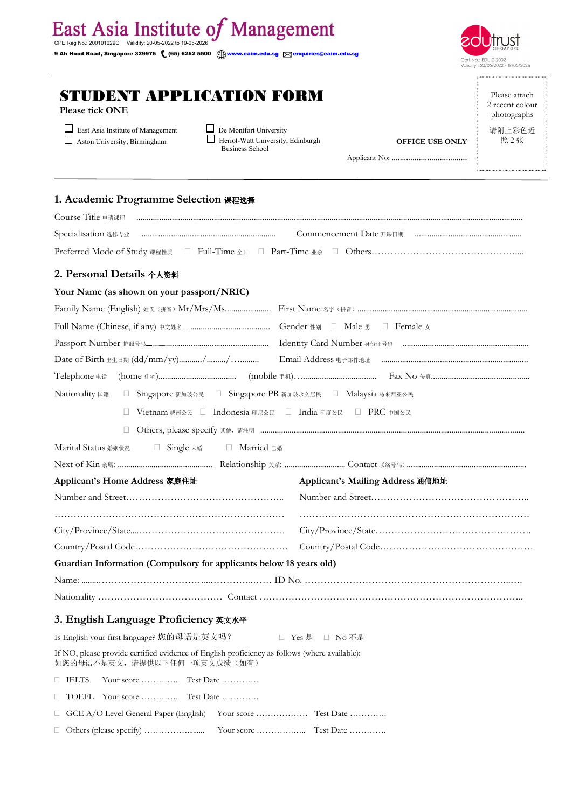| STUDENT APPLICATION FORM<br>Please tick ONE<br>East Asia Institute of Management<br>De Montfort University<br>Aston University, Birmingham<br>Heriot-Watt University, Edinburgh<br><b>OFFICE USE ONLY</b><br><b>Business School</b><br>1. Academic Programme Selection 课程选择<br>2. Personal Details 个人资料<br>Your Name (as shown on your passport/NRIC) |                                                                  |
|-------------------------------------------------------------------------------------------------------------------------------------------------------------------------------------------------------------------------------------------------------------------------------------------------------------------------------------------------------|------------------------------------------------------------------|
|                                                                                                                                                                                                                                                                                                                                                       | Validity: 20/05/2022 - 19/05/202<br>Please atta<br>2 recent cold |
|                                                                                                                                                                                                                                                                                                                                                       | photograpl<br>请附上彩色<br>照 2 张                                     |
|                                                                                                                                                                                                                                                                                                                                                       |                                                                  |
|                                                                                                                                                                                                                                                                                                                                                       |                                                                  |
|                                                                                                                                                                                                                                                                                                                                                       |                                                                  |
|                                                                                                                                                                                                                                                                                                                                                       |                                                                  |
|                                                                                                                                                                                                                                                                                                                                                       |                                                                  |
|                                                                                                                                                                                                                                                                                                                                                       |                                                                  |
|                                                                                                                                                                                                                                                                                                                                                       |                                                                  |
|                                                                                                                                                                                                                                                                                                                                                       |                                                                  |
|                                                                                                                                                                                                                                                                                                                                                       |                                                                  |
|                                                                                                                                                                                                                                                                                                                                                       |                                                                  |

Please attach 2 recent colour photographs 请附上彩色近 照 2 张

Cert No.: EDU-2-2002<br>Validity: 20/05/2022 - 19/05/2026

| Telephone 电话                                                                 |
|------------------------------------------------------------------------------|
| Nationality 国籍<br>□ Singapore 新加玻公民 □ Singapore PR 新加玻永久居民 □ Malaysia 马来西亚公民 |
| Vietnam 越南公民 □ Indonesia 印尼公民 □ India 印度公民 □ PRC 中国公民                        |
|                                                                              |
| □ Single 未婚 □ Married 已婚<br>Marital Status 婚姻状况                              |
|                                                                              |
| Applicant's Home Address 家庭住址<br>Applicant's Mailing Address 通信地址            |
|                                                                              |
|                                                                              |
|                                                                              |
|                                                                              |
| Guardian Information (Compulsory for applicants below 18 years old)          |
|                                                                              |
|                                                                              |
| 3. English Language Proficiency 英文水平                                         |

| Is English your first language? 您的母语是英文吗?<br>□ Yes 是 □ No 不是                                                                 |                                    |  |  |  |  |  |
|------------------------------------------------------------------------------------------------------------------------------|------------------------------------|--|--|--|--|--|
| If NO, please provide certified evidence of English proficiency as follows (where available):<br>如您的母语不是英文,请提供以下任何一项英文成绩(如有) |                                    |  |  |  |  |  |
| $\Box$ IELTS                                                                                                                 |                                    |  |  |  |  |  |
|                                                                                                                              | $\Box$ TOEFL Your score  Test Date |  |  |  |  |  |
|                                                                                                                              |                                    |  |  |  |  |  |
|                                                                                                                              |                                    |  |  |  |  |  |